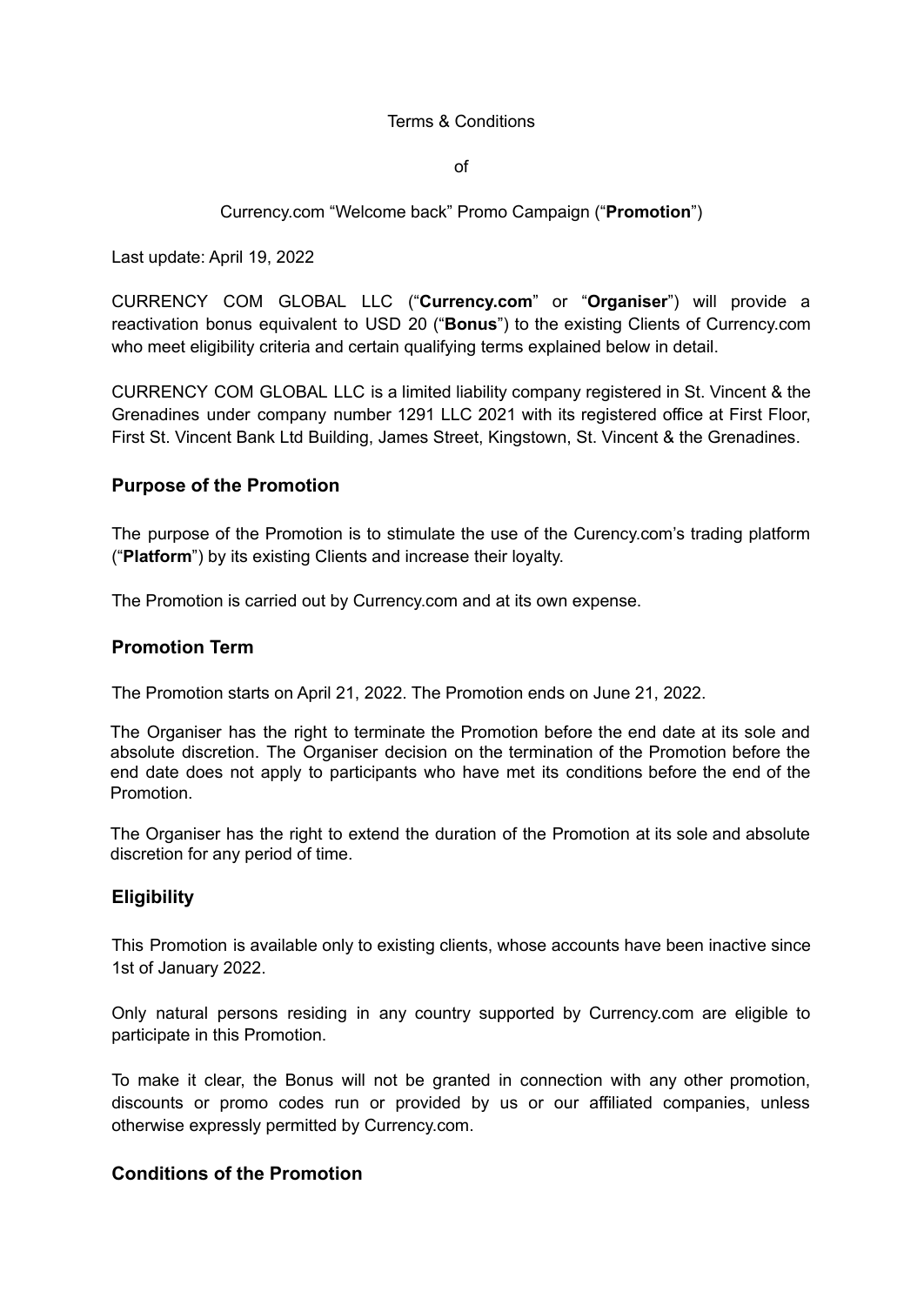#### Terms & Conditions

of

### Currency.com "Welcome back" Promo Campaign ("**Promotion**")

Last update: April 19, 2022

CURRENCY COM GLOBAL LLC ("**Currency.com**" or "**Organiser**") will provide a reactivation bonus equivalent to USD 20 ("**Bonus**") to the existing Clients of Currency.com who meet eligibility criteria and certain qualifying terms explained below in detail.

CURRENCY COM GLOBAL LLC is a limited liability company registered in St. Vincent & the Grenadines under company number 1291 LLC 2021 with its registered office at First Floor, First St. Vincent Bank Ltd Building, James Street, Kingstown, St. Vincent & the Grenadines.

### **Purpose of the Promotion**

The purpose of the Promotion is to stimulate the use of the Curency.com's trading platform ("**Platform**") by its existing Clients and increase their loyalty.

The Promotion is carried out by Currency.com and at its own expense.

### **Promotion Term**

The Promotion starts on April 21, 2022. The Promotion ends on June 21, 2022.

The Organiser has the right to terminate the Promotion before the end date at its sole and absolute discretion. The Organiser decision on the termination of the Promotion before the end date does not apply to participants who have met its conditions before the end of the Promotion.

The Organiser has the right to extend the duration of the Promotion at its sole and absolute discretion for any period of time.

### **Eligibility**

This Promotion is available only to existing clients, whose accounts have been inactive since 1st of January 2022.

Only natural persons residing in any country supported by Currency.com are eligible to participate in this Promotion.

To make it clear, the Bonus will not be granted in connection with any other promotion, discounts or promo codes run or provided by us or our affiliated companies, unless otherwise expressly permitted by Currency.com.

## **Conditions of the Promotion**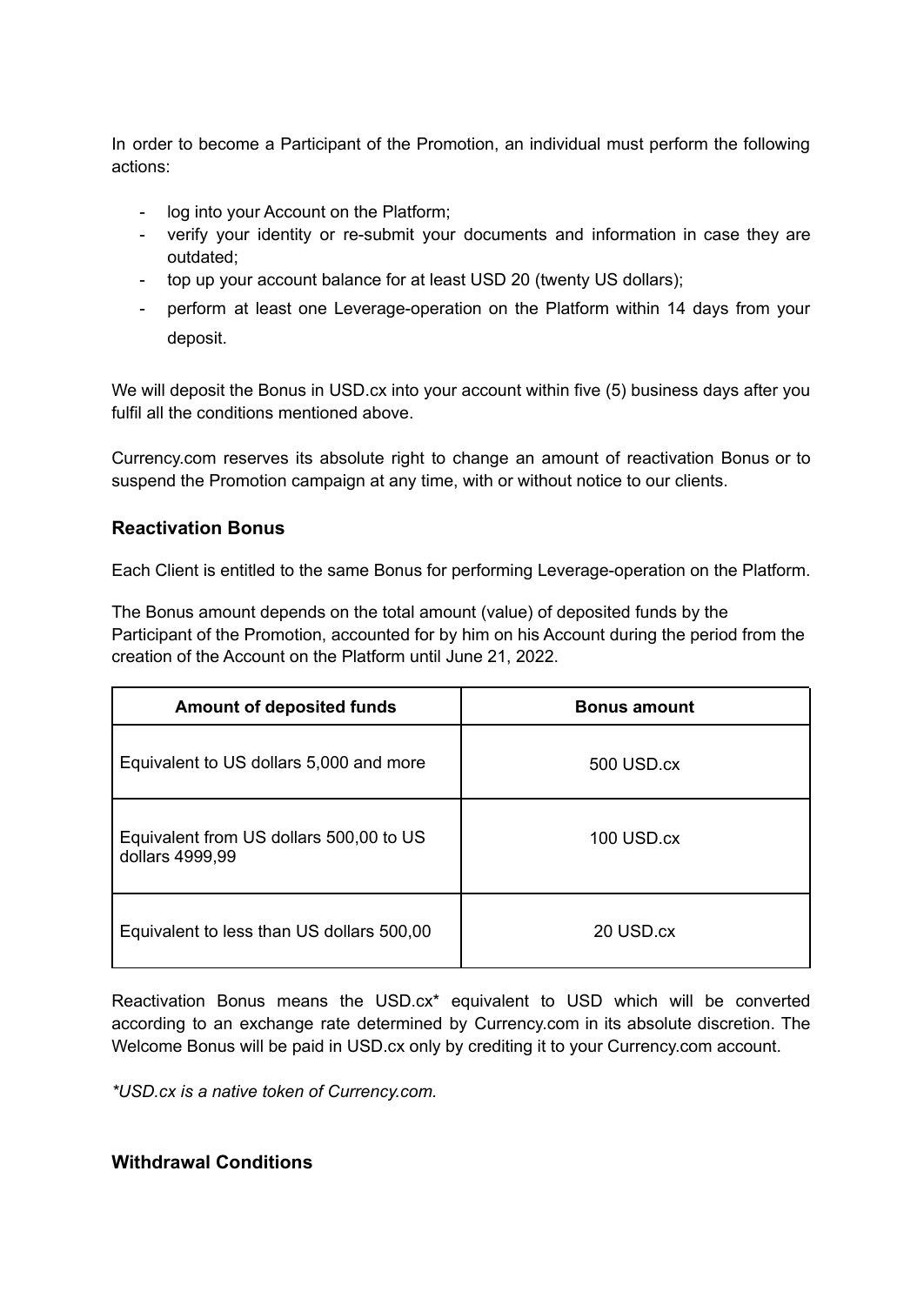In order to become a Participant of the Promotion, an individual must perform the following actions:

- log into your Account on the Platform;
- verify your identity or re-submit your documents and information in case they are outdated;
- top up your account balance for at least USD 20 (twenty US dollars);
- perform at least one Leverage-operation on the Platform within 14 days from your deposit.

We will deposit the Bonus in USD.cx into your account within five (5) business days after you fulfil all the conditions mentioned above.

Currency.com reserves its absolute right to change an amount of reactivation Bonus or to suspend the Promotion campaign at any time, with or without notice to our clients.

# **Reactivation Bonus**

Each Client is entitled to the same Bonus for performing Leverage-operation on the Platform.

The Bonus amount depends on the total amount (value) of deposited funds by the Participant of the Promotion, accounted for by him on his Account during the period from the creation of the Account on the Platform until June 21, 2022.

| <b>Amount of deposited funds</b>                           | <b>Bonus amount</b> |
|------------------------------------------------------------|---------------------|
| Equivalent to US dollars 5,000 and more                    | 500 USD.cx          |
| Equivalent from US dollars 500,00 to US<br>dollars 4999,99 | 100 USD.cx          |
| Equivalent to less than US dollars 500,00                  | 20 USD.cx           |

Reactivation Bonus means the USD.cx\* equivalent to USD which will be converted according to an exchange rate determined by Currency.com in its absolute discretion. The Welcome Bonus will be paid in USD.cx only by crediting it to your Currency.com account.

*\*USD.cx is a native token of Currency.com.*

## **Withdrawal Conditions**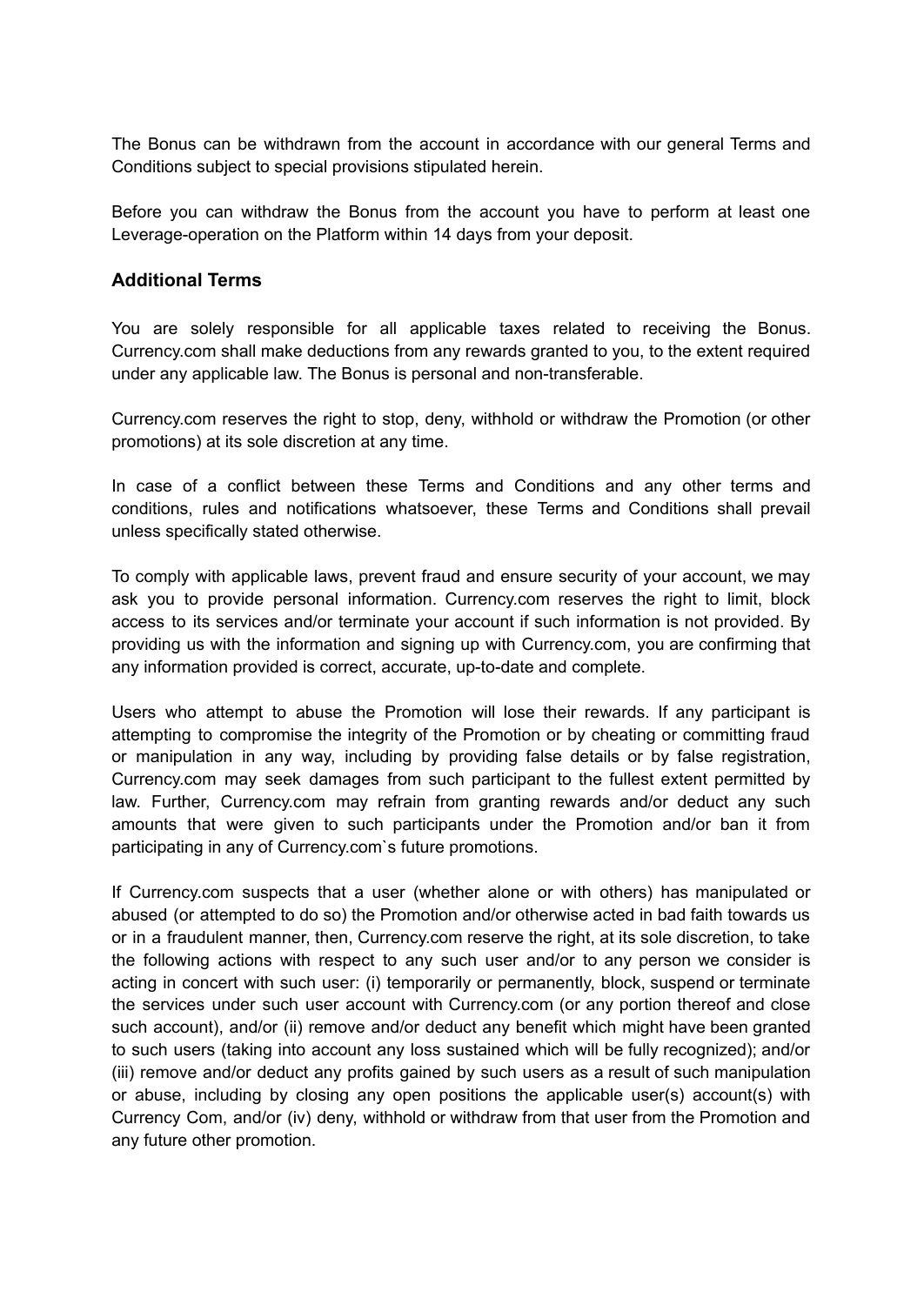The Bonus can be withdrawn from the account in accordance with our general Terms and Conditions subject to special provisions stipulated herein.

Before you can withdraw the Bonus from the account you have to perform at least one Leverage-operation on the Platform within 14 days from your deposit.

## **Additional Terms**

You are solely responsible for all applicable taxes related to receiving the Bonus. Currency.com shall make deductions from any rewards granted to you, to the extent required under any applicable law. The Bonus is personal and non-transferable.

Currency.com reserves the right to stop, deny, withhold or withdraw the Promotion (or other promotions) at its sole discretion at any time.

In case of a conflict between these Terms and Conditions and any other terms and conditions, rules and notifications whatsoever, these Terms and Conditions shall prevail unless specifically stated otherwise.

To comply with applicable laws, prevent fraud and ensure security of your account, we may ask you to provide personal information. Currency.com reserves the right to limit, block access to its services and/or terminate your account if such information is not provided. By providing us with the information and signing up with Currency.com, you are confirming that any information provided is correct, accurate, up-to-date and complete.

Users who attempt to abuse the Promotion will lose their rewards. If any participant is attempting to compromise the integrity of the Promotion or by cheating or committing fraud or manipulation in any way, including by providing false details or by false registration, Currency.com may seek damages from such participant to the fullest extent permitted by law. Further, Currency.com may refrain from granting rewards and/or deduct any such amounts that were given to such participants under the Promotion and/or ban it from participating in any of Currency.com`s future promotions.

If Currency.com suspects that a user (whether alone or with others) has manipulated or abused (or attempted to do so) the Promotion and/or otherwise acted in bad faith towards us or in a fraudulent manner, then, Currency.com reserve the right, at its sole discretion, to take the following actions with respect to any such user and/or to any person we consider is acting in concert with such user: (i) temporarily or permanently, block, suspend or terminate the services under such user account with Currency.com (or any portion thereof and close such account), and/or (ii) remove and/or deduct any benefit which might have been granted to such users (taking into account any loss sustained which will be fully recognized); and/or (iii) remove and/or deduct any profits gained by such users as a result of such manipulation or abuse, including by closing any open positions the applicable user(s) account(s) with Currency Com, and/or (iv) deny, withhold or withdraw from that user from the Promotion and any future other promotion.